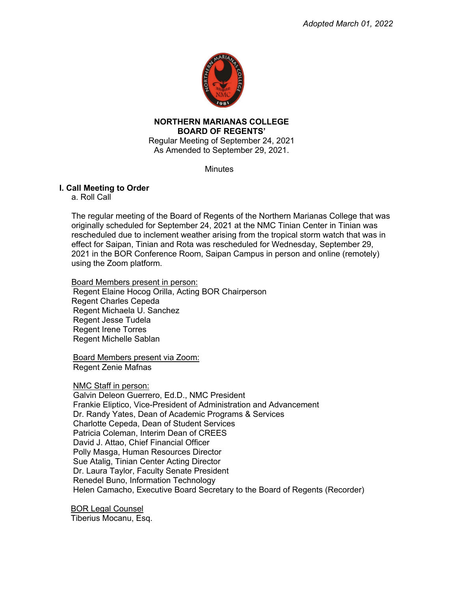

 Regular Meeting of September 24, 2021 **NORTHERN MARIANAS COLLEGE BOARD OF REGENTS'** 

As Amended to September 29, 2021.

**Minutes** 

# **I. Call Meeting to Order**

a. Roll Call

 The regular meeting of the Board of Regents of the Northern Marianas College that was originally scheduled for September 24, 2021 at the NMC Tinian Center in Tinian was effect for Saipan, Tinian and Rota was rescheduled for Wednesday, September 29, using the Zoom platform. rescheduled due to inclement weather arising from the tropical storm watch that was in 2021 in the BOR Conference Room, Saipan Campus in person and online (remotely)

 Board Members present in person: Regent Charles Cepeda Regent Elaine Hocog Orilla, Acting BOR Chairperson Regent Michaela U. Sanchez Regent Jesse Tudela Regent Irene Torres Regent Michelle Sablan

Board Members present via Zoom: Regent Zenie Mafnas

NMC Staff in person: Galvin Deleon Guerrero, Ed.D., NMC President Frankie Eliptico, Vice-President of Administration and Advancement Dr. Randy Yates, Dean of Academic Programs & Services Charlotte Cepeda, Dean of Student Services Patricia Coleman, Interim Dean of CREES David J. Attao, Chief Financial Officer Polly Masga, Human Resources Director Sue Atalig, Tinian Center Acting Director Dr. Laura Taylor, Faculty Senate President Renedel Buno, Information Technology Helen Camacho, Executive Board Secretary to the Board of Regents (Recorder)

BOR Legal Counsel Tiberius Mocanu, Esq.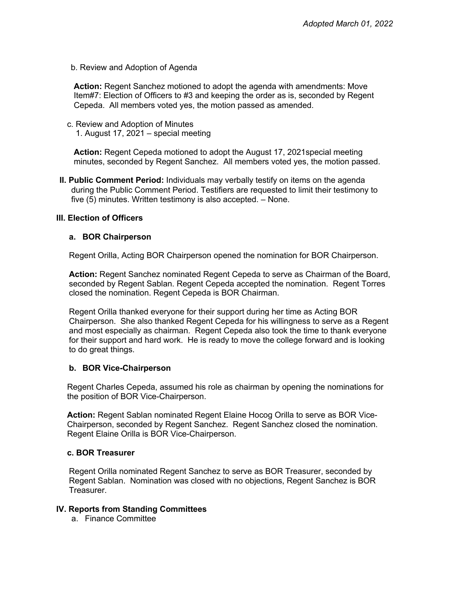b. Review and Adoption of Agenda

 **Action:** Regent Sanchez motioned to adopt the agenda with amendments: Move Cepeda. All members voted yes, the motion passed as amended. Item#7: Election of Officers to #3 and keeping the order as is, seconded by Regent

 c. Review and Adoption of Minutes 1. August 17, 2021 – special meeting

 **Action:** Regent Cepeda motioned to adopt the August 17, 2021special meeting minutes, seconded by Regent Sanchez. All members voted yes, the motion passed.

 five (5) minutes. Written testimony is also accepted. – None. **II. Public Comment Period:** Individuals may verbally testify on items on the agenda during the Public Comment Period. Testifiers are requested to limit their testimony to

### **III. Election of Officers**

### **a. BOR Chairperson**

Regent Orilla, Acting BOR Chairperson opened the nomination for BOR Chairperson.

 **Action:** Regent Sanchez nominated Regent Cepeda to serve as Chairman of the Board, seconded by Regent Sablan. Regent Cepeda accepted the nomination. Regent Torres closed the nomination. Regent Cepeda is BOR Chairman.

 Regent Orilla thanked everyone for their support during her time as Acting BOR Chairperson. She also thanked Regent Cepeda for his willingness to serve as a Regent and most especially as chairman. Regent Cepeda also took the time to thank everyone to do great things. for their support and hard work. He is ready to move the college forward and is looking

#### **b. BOR Vice-Chairperson**

 Regent Charles Cepeda, assumed his role as chairman by opening the nominations for the position of BOR Vice-Chairperson.

 **Action:** Regent Sablan nominated Regent Elaine Hocog Orilla to serve as BOR Vice- Chairperson, seconded by Regent Sanchez. Regent Sanchez closed the nomination. Regent Elaine Orilla is BOR Vice-Chairperson.

#### **c. BOR Treasurer**

 Regent Orilla nominated Regent Sanchez to serve as BOR Treasurer, seconded by Regent Sablan. Nomination was closed with no objections, Regent Sanchez is BOR Treasurer.

#### **IV. Reports from Standing Committees**

a. Finance Committee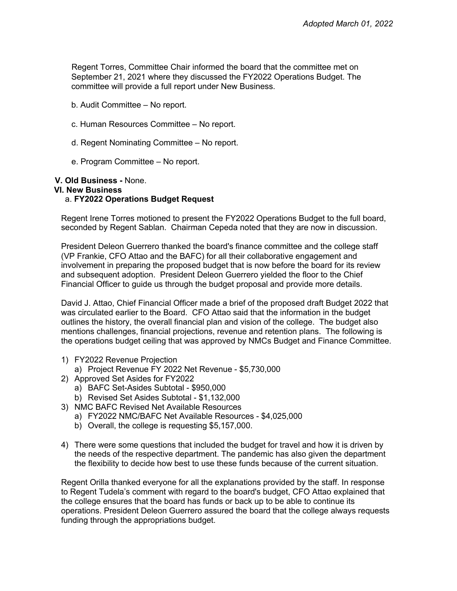Regent Torres, Committee Chair informed the board that the committee met on September 21, 2021 where they discussed the FY2022 Operations Budget. The committee will provide a full report under New Business.

- b. Audit Committee No report.
- c. Human Resources Committee No report.
- d. Regent Nominating Committee No report.
- e. Program Committee No report.

# **V. Old Business -** None.

### **VI. New Business**

### a. **FY2022 Operations Budget Request**

 Regent Irene Torres motioned to present the FY2022 Operations Budget to the full board, seconded by Regent Sablan. Chairman Cepeda noted that they are now in discussion.

 President Deleon Guerrero thanked the board's finance committee and the college staff involvement in preparing the proposed budget that is now before the board for its review and subsequent adoption. President Deleon Guerrero yielded the floor to the Chief Financial Officer to guide us through the budget proposal and provide more details. (VP Frankie, CFO Attao and the BAFC) for all their collaborative engagement and

 David J. Attao, Chief Financial Officer made a brief of the proposed draft Budget 2022 that was circulated earlier to the Board. CFO Attao said that the information in the budget outlines the history, the overall financial plan and vision of the college. The budget also mentions challenges, financial projections, revenue and retention plans. The following is the operations budget ceiling that was approved by NMCs Budget and Finance Committee.

- 1) FY2022 Revenue Projection
- a) Project Revenue FY 2022 Net Revenue \$5,730,000
- 2) Approved Set Asides for FY2022
	- a) BAFC Set-Asides Subtotal \$950,000
	- b) Revised Set Asides Subtotal \$1,132,000
- 3) NMC BAFC Revised Net Available Resources
	- a) FY2022 NMC/BAFC Net Available Resources \$4,025,000
	- b) Overall, the college is requesting \$5,157,000.
- 4) There were some questions that included the budget for travel and how it is driven by the needs of the respective department. The pandemic has also given the department the flexibility to decide how best to use these funds because of the current situation.

 Regent Orilla thanked everyone for all the explanations provided by the staff. In response to Regent Tudela's comment with regard to the board's budget, CFO Attao explained that operations. President Deleon Guerrero assured the board that the college always requests the college ensures that the board has funds or back up to be able to continue its funding through the appropriations budget.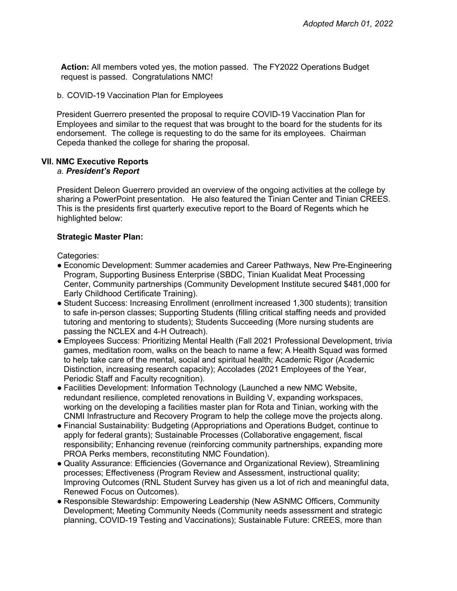**Action:** All members voted yes, the motion passed. The FY2022 Operations Budget request is passed. Congratulations NMC!

b. COVID-19 Vaccination Plan for Employees

 President Guerrero presented the proposal to require COVID-19 Vaccination Plan for Employees and similar to the request that was brought to the board for the students for its endorsement. The college is requesting to do the same for its employees. Chairman Cepeda thanked the college for sharing the proposal.

### **VII. NMC Executive Reports**

#### *a. President's Report*

 President Deleon Guerrero provided an overview of the ongoing activities at the college by sharing a PowerPoint presentation. He also featured the Tinian Center and Tinian CREES. This is the presidents first quarterly executive report to the Board of Regents which he highlighted below:

#### **Strategic Master Plan:**

Categories:

- ● Economic Development: Summer academies and Career Pathways, New Pre-Engineering Program, Supporting Business Enterprise (SBDC, Tinian Kualidat Meat Processing Center, Community partnerships (Community Development Institute secured \$481,000 for Early Childhood Certificate Training).
- ● Student Success: Increasing Enrollment (enrollment increased 1,300 students); transition to safe in-person classes; Supporting Students (filling critical staffing needs and provided tutoring and mentoring to students); Students Succeeding (More nursing students are passing the NCLEX and 4-H Outreach).
- ● Employees Success: Prioritizing Mental Health (Fall 2021 Professional Development, trivia games, meditation room, walks on the beach to name a few; A Health Squad was formed Distinction, increasing research capacity); Accolades (2021 Employees of the Year, Periodic Staff and Faculty recognition). to help take care of the mental, social and spiritual health; Academic Rigor (Academic
- ● Facilities Development: Information Technology (Launched a new NMC Website, working on the developing a facilities master plan for Rota and Tinian, working with the CNMI Infrastructure and Recovery Program to help the college move the projects along. redundant resilience, completed renovations in Building V, expanding workspaces,
- ● Financial Sustainability: Budgeting (Appropriations and Operations Budget, continue to apply for federal grants); Sustainable Processes (Collaborative engagement, fiscal PROA Perks members, reconstituting NMC Foundation). responsibility; Enhancing revenue (reinforcing community partnerships, expanding more
- ● Quality Assurance: Efficiencies (Governance and Organizational Review), Streamlining processes; Effectiveness (Program Review and Assessment, instructional quality; Improving Outcomes (RNL Student Survey has given us a lot of rich and meaningful data, Renewed Focus on Outcomes).
- ● Responsible Stewardship: Empowering Leadership (New ASNMC Officers, Community Development; Meeting Community Needs (Community needs assessment and strategic planning, COVID-19 Testing and Vaccinations); Sustainable Future: CREES, more than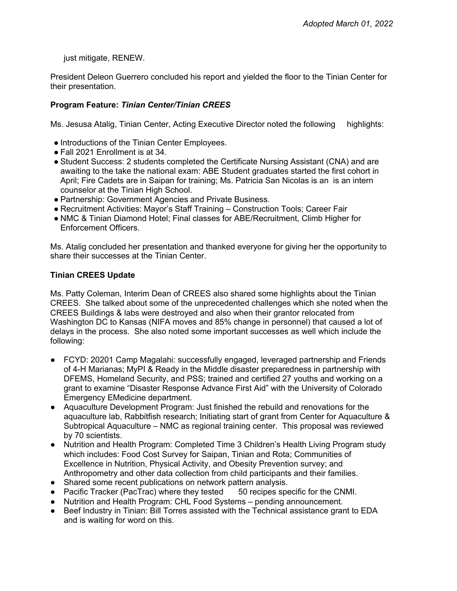just mitigate, RENEW.

 President Deleon Guerrero concluded his report and yielded the floor to the Tinian Center for their presentation.

# **Program Feature:** *Tinian Center/Tinian CREES*

Ms. Jesusa Atalig, Tinian Center, Acting Executive Director noted the following highlights:

- Introductions of the Tinian Center Employees.
- Fall 2021 Enrollment is at 34.
- ● Student Success: 2 students completed the Certificate Nursing Assistant (CNA) and are awaiting to the take the national exam: ABE Student graduates started the first cohort in April; Fire Cadets are in Saipan for training; Ms. Patricia San Nicolas is an is an intern counselor at the Tinian High School.
- Partnership: Government Agencies and Private Business.
- Recruitment Activities: Mayor's Staff Training Construction Tools; Career Fair
- ● NMC & Tinian Diamond Hotel; Final classes for ABE/Recruitment, Climb Higher for Enforcement Officers.

 Ms. Atalig concluded her presentation and thanked everyone for giving her the opportunity to share their successes at the Tinian Center.

# **Tinian CREES Update**

 Ms. Patty Coleman, Interim Dean of CREES also shared some highlights about the Tinian CREES. She talked about some of the unprecedented challenges which she noted when the CREES Buildings & labs were destroyed and also when their grantor relocated from Washington DC to Kansas (NIFA moves and 85% change in personnel) that caused a lot of delays in the process. She also noted some important successes as well which include the following:

- ● FCYD: 20201 Camp Magalahi: successfully engaged, leveraged partnership and Friends of 4-H Marianas; MyPI & Ready in the Middle disaster preparedness in partnership with DFEMS, Homeland Security, and PSS; trained and certified 27 youths and working on a grant to examine "Disaster Response Advance First Aid" with the University of Colorado Emergency EMedicine department.
- ● Aquaculture Development Program: Just finished the rebuild and renovations for the aquaculture lab, Rabbitfish research; Initiating start of grant from Center for Aquaculture & Subtropical Aquaculture – NMC as regional training center. This proposal was reviewed by 70 scientists.
- by 70 scientists.<br>● Nutrition and Health Program: Completed Time 3 Children's Health Living Program study which includes: Food Cost Survey for Saipan, Tinian and Rota; Communities of Excellence in Nutrition, Physical Activity, and Obesity Prevention survey; and Anthropometry and other data collection from child participants and their families.
- Shared some recent publications on network pattern analysis.
- Pacific Tracker (PacTrac) where they tested 50 recipes specific for the CNMI.
- Nutrition and Health Program: CHL Food Systems pending announcement.
- ● Beef Industry in Tinian: Bill Torres assisted with the Technical assistance grant to EDA and is waiting for word on this.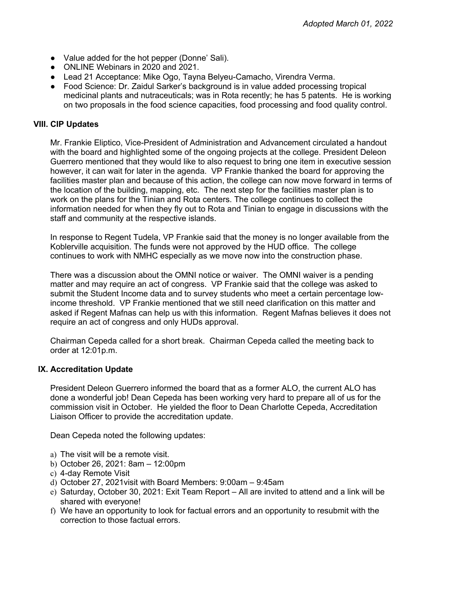- Value added for the hot pepper (Donne' Sali).
- ONLINE Webinars in 2020 and 2021.
- Lead 21 Acceptance: Mike Ogo, Tayna Belyeu-Camacho, Virendra Verma.
- ● Food Science: Dr. Zaidul Sarker's background is in value added processing tropical medicinal plants and nutraceuticals; was in Rota recently; he has 5 patents. He is working on two proposals in the food science capacities, food processing and food quality control.

### **VIII. CIP Updates**

 Mr. Frankie Eliptico, Vice-President of Administration and Advancement circulated a handout with the board and highlighted some of the ongoing projects at the college. President Deleon Guerrero mentioned that they would like to also request to bring one item in executive session however, it can wait for later in the agenda. VP Frankie thanked the board for approving the the location of the building, mapping, etc. The next step for the facilities master plan is to work on the plans for the Tinian and Rota centers. The college continues to collect the information needed for when they fly out to Rota and Tinian to engage in discussions with the staff and community at the respective islands. facilities master plan and because of this action, the college can now move forward in terms of

 Koblerville acquisition. The funds were not approved by the HUD office. The college continues to work with NMHC especially as we move now into the construction phase. In response to Regent Tudela, VP Frankie said that the money is no longer available from the

continues to work with NMHC especially as we move now into the construction phase.<br>There was a discussion about the OMNI notice or waiver. The OMNI waiver is a pending matter and may require an act of congress. VP Frankie said that the college was asked to income threshold. VP Frankie mentioned that we still need clarification on this matter and asked if Regent Mafnas can help us with this information. Regent Mafnas believes it does not require an act of congress and only HUDs approval. submit the Student Income data and to survey students who meet a certain percentage low-

 Chairman Cepeda called for a short break. Chairman Cepeda called the meeting back to order at 12:01p.m.

# **IX. Accreditation Update**

 President Deleon Guerrero informed the board that as a former ALO, the current ALO has done a wonderful job! Dean Cepeda has been working very hard to prepare all of us for the commission visit in October. He yielded the floor to Dean Charlotte Cepeda, Accreditation Liaison Officer to provide the accreditation update.<br>Dean Cepeda noted the following updates:

Dean Cepeda noted the following updates:

- a) The visit will be a remote visit.
- b) October 26, 2021: 8am 12:00pm
- c) 4-day Remote Visit
- d) October 27, 2021visit with Board Members: 9:00am 9:45am
- e) Saturday, October 30, 2021: Exit Team Report All are invited to attend and a link will be shared with everyone!
- f) We have an opportunity to look for factual errors and an opportunity to resubmit with the correction to those factual errors.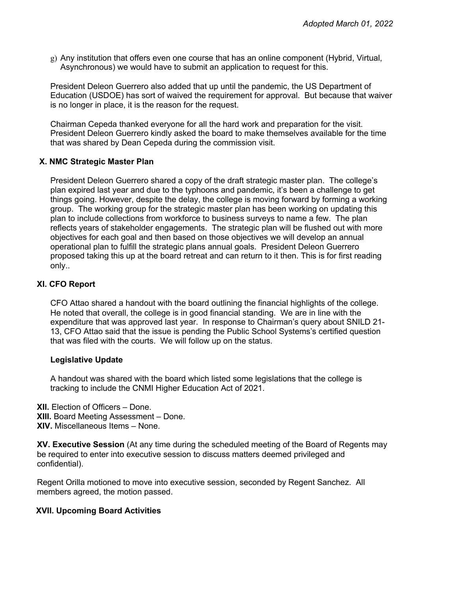g) Any institution that offers even one course that has an online component (Hybrid, Virtual, Asynchronous) we would have to submit an application to request for this.

 President Deleon Guerrero also added that up until the pandemic, the US Department of Education (USDOE) has sort of waived the requirement for approval. But because that waiver is no longer in place, it is the reason for the request.

 Chairman Cepeda thanked everyone for all the hard work and preparation for the visit. President Deleon Guerrero kindly asked the board to make themselves available for the time that was shared by Dean Cepeda during the commission visit.

# **X. NMC Strategic Master Plan**

 President Deleon Guerrero shared a copy of the draft strategic master plan. The college's things going. However, despite the delay, the college is moving forward by forming a working group. The working group for the strategic master plan has been working on updating this plan to include collections from workforce to business surveys to name a few. The plan reflects years of stakeholder engagements. The strategic plan will be flushed out with more objectives for each goal and then based on those objectives we will develop an annual proposed taking this up at the board retreat and can return to it then. This is for first reading only.. plan expired last year and due to the typhoons and pandemic, it's been a challenge to get operational plan to fulfill the strategic plans annual goals. President Deleon Guerrero

# **XI. CFO Report**

 CFO Attao shared a handout with the board outlining the financial highlights of the college. He noted that overall, the college is in good financial standing. We are in line with the expenditure that was approved last year. In response to Chairman's query about SNILD 21- 13, CFO Attao said that the issue is pending the Public School Systems's certified question that was filed with the courts. We will follow up on the status.

# **Legislative Update**

 A handout was shared with the board which listed some legislations that the college is tracking to include the CNMI Higher Education Act of 2021.

 **XII.** Election of Officers – Done. **XIII.** Board Meeting Assessment – Done. **XIV.** Miscellaneous Items – None.

 **XV. Executive Session** (At any time during the scheduled meeting of the Board of Regents may be required to enter into executive session to discuss matters deemed privileged and confidential).

 Regent Orilla motioned to move into executive session, seconded by Regent Sanchez. All members agreed, the motion passed.

# **XVII. Upcoming Board Activities**